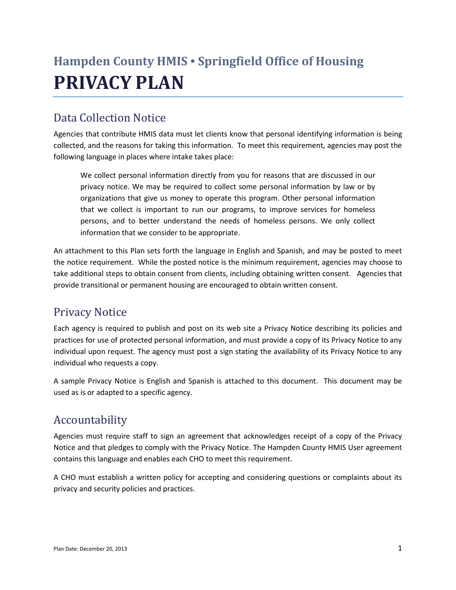## **Hampden County HMIS • Springfield Office of Housing PRIVACY PLAN**

## Data Collection Notice

Agencies that contribute HMIS data must let clients know that personal identifying information is being collected, and the reasons for taking this information. To meet this requirement, agencies may post the following language in places where intake takes place:

We collect personal information directly from you for reasons that are discussed in our privacy notice. We may be required to collect some personal information by law or by organizations that give us money to operate this program. Other personal information that we collect is important to run our programs, to improve services for homeless persons, and to better understand the needs of homeless persons. We only collect information that we consider to be appropriate.

An attachment to this Plan sets forth the language in English and Spanish, and may be posted to meet the notice requirement. While the posted notice is the minimum requirement, agencies may choose to take additional steps to obtain consent from clients, including obtaining written consent. Agencies that provide transitional or permanent housing are encouraged to obtain written consent.

## Privacy Notice

Each agency is required to publish and post on its web site a Privacy Notice describing its policies and practices for use of protected personal information, and must provide a copy of its Privacy Notice to any individual upon request. The agency must post a sign stating the availability of its Privacy Notice to any individual who requests a copy.

A sample Privacy Notice is English and Spanish is attached to this document. This document may be used as is or adapted to a specific agency.

## Accountability

Agencies must require staff to sign an agreement that acknowledges receipt of a copy of the Privacy Notice and that pledges to comply with the Privacy Notice. The Hampden County HMIS User agreement contains this language and enables each CHO to meet this requirement.

A CHO must establish a written policy for accepting and considering questions or complaints about its privacy and security policies and practices.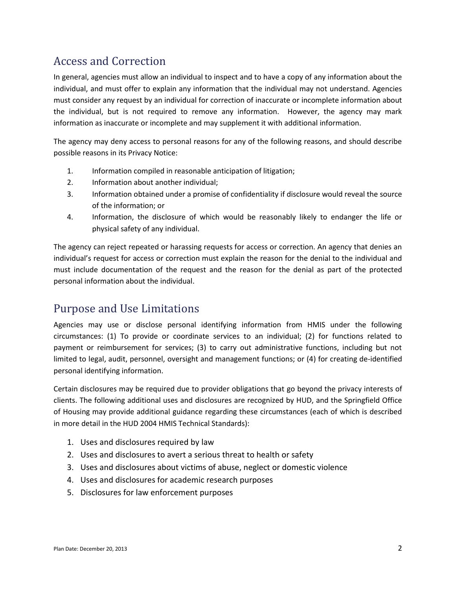## Access and Correction

In general, agencies must allow an individual to inspect and to have a copy of any information about the individual, and must offer to explain any information that the individual may not understand. Agencies must consider any request by an individual for correction of inaccurate or incomplete information about the individual, but is not required to remove any information. However, the agency may mark information as inaccurate or incomplete and may supplement it with additional information.

The agency may deny access to personal reasons for any of the following reasons, and should describe possible reasons in its Privacy Notice:

- 1. Information compiled in reasonable anticipation of litigation;
- 2. Information about another individual;
- 3. Information obtained under a promise of confidentiality if disclosure would reveal the source of the information; or
- 4. Information, the disclosure of which would be reasonably likely to endanger the life or physical safety of any individual.

The agency can reject repeated or harassing requests for access or correction. An agency that denies an individual's request for access or correction must explain the reason for the denial to the individual and must include documentation of the request and the reason for the denial as part of the protected personal information about the individual.

### Purpose and Use Limitations

Agencies may use or disclose personal identifying information from HMIS under the following circumstances: (1) To provide or coordinate services to an individual; (2) for functions related to payment or reimbursement for services; (3) to carry out administrative functions, including but not limited to legal, audit, personnel, oversight and management functions; or (4) for creating de-identified personal identifying information.

Certain disclosures may be required due to provider obligations that go beyond the privacy interests of clients. The following additional uses and disclosures are recognized by HUD, and the Springfield Office of Housing may provide additional guidance regarding these circumstances (each of which is described in more detail in the HUD 2004 HMIS Technical Standards):

- 1. Uses and disclosures required by law
- 2. Uses and disclosures to avert a serious threat to health or safety
- 3. Uses and disclosures about victims of abuse, neglect or domestic violence
- 4. Uses and disclosures for academic research purposes
- 5. Disclosures for law enforcement purposes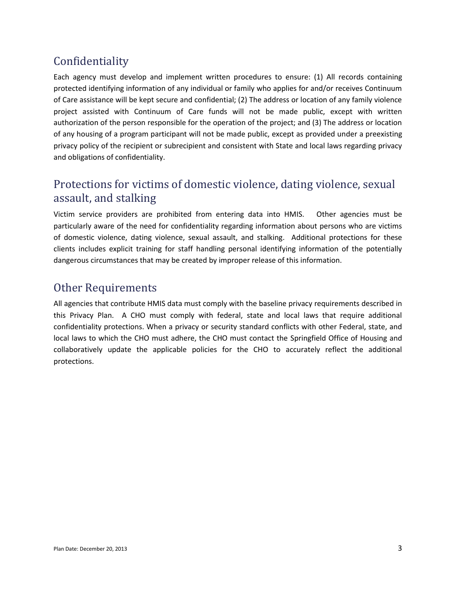## Confidentiality

Each agency must develop and implement written procedures to ensure: (1) All records containing protected identifying information of any individual or family who applies for and/or receives Continuum of Care assistance will be kept secure and confidential; (2) The address or location of any family violence project assisted with Continuum of Care funds will not be made public, except with written authorization of the person responsible for the operation of the project; and (3) The address or location of any housing of a program participant will not be made public, except as provided under a preexisting privacy policy of the recipient or subrecipient and consistent with State and local laws regarding privacy and obligations of confidentiality.

### Protections for victims of domestic violence, dating violence, sexual assault, and stalking

Victim service providers are prohibited from entering data into HMIS. Other agencies must be particularly aware of the need for confidentiality regarding information about persons who are victims of domestic violence, dating violence, sexual assault, and stalking. Additional protections for these clients includes explicit training for staff handling personal identifying information of the potentially dangerous circumstances that may be created by improper release of this information.

### Other Requirements

All agencies that contribute HMIS data must comply with the baseline privacy requirements described in this Privacy Plan. A CHO must comply with federal, state and local laws that require additional confidentiality protections. When a privacy or security standard conflicts with other Federal, state, and local laws to which the CHO must adhere, the CHO must contact the Springfield Office of Housing and collaboratively update the applicable policies for the CHO to accurately reflect the additional protections.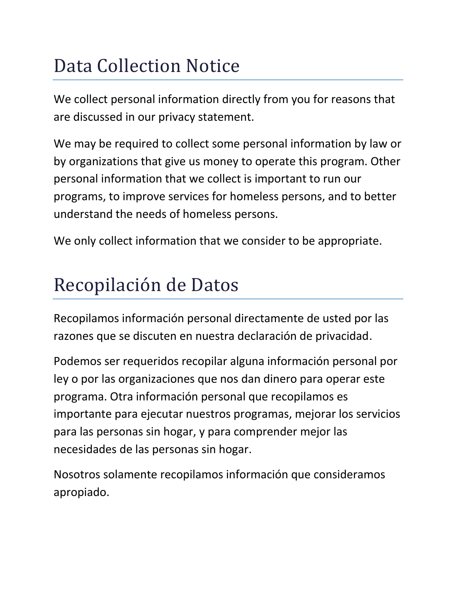# Data Collection Notice

We collect personal information directly from you for reasons that are discussed in our privacy statement.

We may be required to collect some personal information by law or by organizations that give us money to operate this program. Other personal information that we collect is important to run our programs, to improve services for homeless persons, and to better understand the needs of homeless persons.

We only collect information that we consider to be appropriate.

## Recopilación de Datos

Recopilamos información personal directamente de usted por las razones que se discuten en nuestra declaración de privacidad.

Podemos ser requeridos recopilar alguna información personal por ley o por las organizaciones que nos dan dinero para operar este programa. Otra información personal que recopilamos es importante para ejecutar nuestros programas, mejorar los servicios para las personas sin hogar, y para comprender mejor las necesidades de las personas sin hogar.

Nosotros solamente recopilamos información que consideramos apropiado.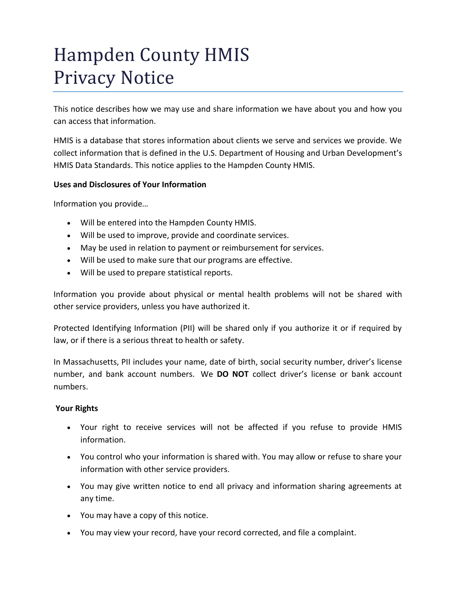## Hampden County HMIS Privacy Notice

This notice describes how we may use and share information we have about you and how you can access that information.

HMIS is a database that stores information about clients we serve and services we provide. We collect information that is defined in the U.S. Department of Housing and Urban Development's HMIS Data Standards. This notice applies to the Hampden County HMIS.

### **Uses and Disclosures of Your Information**

Information you provide…

- Will be entered into the Hampden County HMIS.
- Will be used to improve, provide and coordinate services.
- May be used in relation to payment or reimbursement for services.
- Will be used to make sure that our programs are effective.
- Will be used to prepare statistical reports.

Information you provide about physical or mental health problems will not be shared with other service providers, unless you have authorized it.

Protected Identifying Information (PII) will be shared only if you authorize it or if required by law, or if there is a serious threat to health or safety.

In Massachusetts, PII includes your name, date of birth, social security number, driver's license number, and bank account numbers. We **DO NOT** collect driver's license or bank account numbers.

#### **Your Rights**

- Your right to receive services will not be affected if you refuse to provide HMIS information.
- You control who your information is shared with. You may allow or refuse to share your information with other service providers.
- You may give written notice to end all privacy and information sharing agreements at any time.
- You may have a copy of this notice.
- You may view your record, have your record corrected, and file a complaint.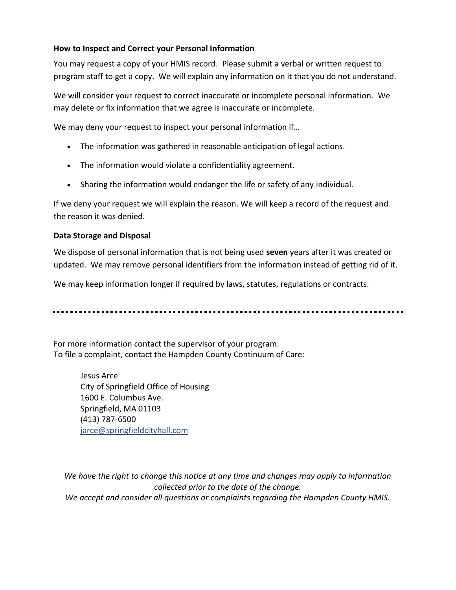### **How to Inspect and Correct your Personal Information**

You may request a copy of your HMIS record. Please submit a verbal or written request to program staff to get a copy. We will explain any information on it that you do not understand.

We will consider your request to correct inaccurate or incomplete personal information. We may delete or fix information that we agree is inaccurate or incomplete.

We may deny your request to inspect your personal information if...

- The information was gathered in reasonable anticipation of legal actions.
- The information would violate a confidentiality agreement.
- Sharing the information would endanger the life or safety of any individual.

If we deny your request we will explain the reason. We will keep a record of the request and the reason it was denied.

### **Data Storage and Disposal**

We dispose of personal information that is not being used **seven** years after it was created or updated. We may remove personal identifiers from the information instead of getting rid of it.

We may keep information longer if required by laws, statutes, regulations or contracts.

For more information contact the supervisor of your program. To file a complaint, contact the Hampden County Continuum of Care:

> Jesus Arce City of Springfield Office of Housing 1600 E. Columbus Ave. Springfield, MA 01103 (413) 787-6500 [jarce@springfieldcityhall.com](mailto:jarce@springfieldcityhall.com)

*We have the right to change this notice at any time and changes may apply to information collected prior to the date of the change. We accept and consider all questions or complaints regarding the Hampden County HMIS.*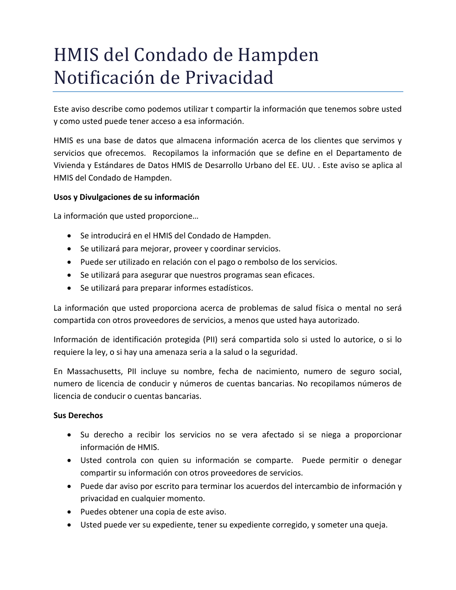## HMIS del Condado de Hampden Notificación de Privacidad

Este aviso describe como podemos utilizar t compartir la información que tenemos sobre usted y como usted puede tener acceso a esa información.

HMIS es una base de datos que almacena información acerca de los clientes que servimos y servicios que ofrecemos. Recopilamos la información que se define en el Departamento de Vivienda y Estándares de Datos HMIS de Desarrollo Urbano del EE. UU. . Este aviso se aplica al HMIS del Condado de Hampden.

### **Usos y Divulgaciones de su información**

La información que usted proporcione…

- Se introducirá en el HMIS del Condado de Hampden.
- Se utilizará para mejorar, proveer y coordinar servicios.
- Puede ser utilizado en relación con el pago o rembolso de los servicios.
- Se utilizará para asegurar que nuestros programas sean eficaces.
- Se utilizará para preparar informes estadísticos.

La información que usted proporciona acerca de problemas de salud física o mental no será compartida con otros proveedores de servicios, a menos que usted haya autorizado.

Información de identificación protegida (PII) será compartida solo si usted lo autorice, o si lo requiere la ley, o si hay una amenaza seria a la salud o la seguridad.

En Massachusetts, PII incluye su nombre, fecha de nacimiento, numero de seguro social, numero de licencia de conducir y números de cuentas bancarias. No recopilamos números de licencia de conducir o cuentas bancarias.

#### **Sus Derechos**

- Su derecho a recibir los servicios no se vera afectado si se niega a proporcionar información de HMIS.
- Usted controla con quien su información se comparte. Puede permitir o denegar compartir su información con otros proveedores de servicios.
- Puede dar aviso por escrito para terminar los acuerdos del intercambio de información y privacidad en cualquier momento.
- Puedes obtener una copia de este aviso.
- Usted puede ver su expediente, tener su expediente corregido, y someter una queja.